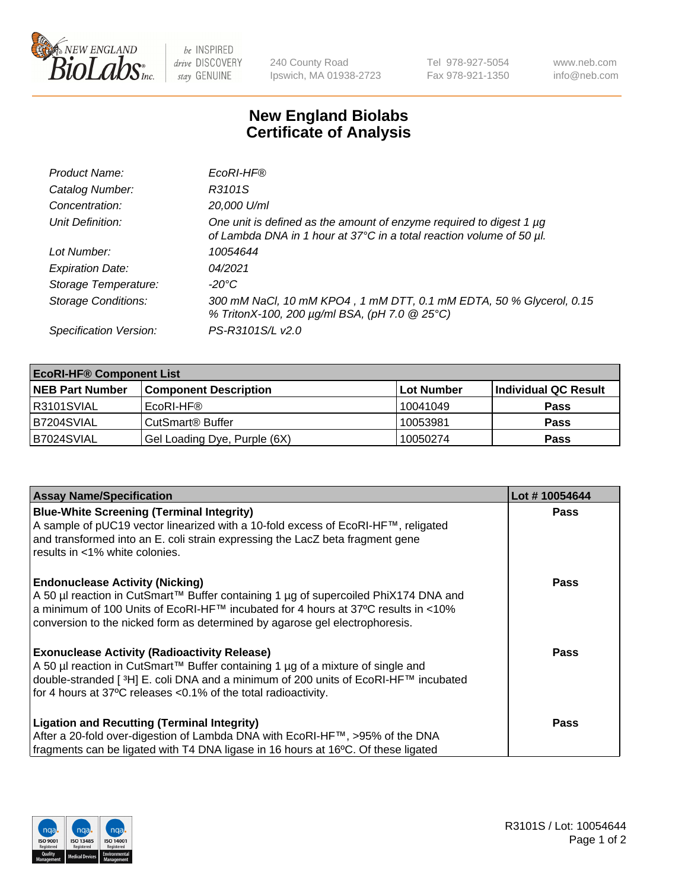

 $be$  INSPIRED drive DISCOVERY stay GENUINE

240 County Road Ipswich, MA 01938-2723 Tel 978-927-5054 Fax 978-921-1350 www.neb.com info@neb.com

## **New England Biolabs Certificate of Analysis**

| Product Name:              | EcoRI-HF®                                                                                                                                   |
|----------------------------|---------------------------------------------------------------------------------------------------------------------------------------------|
| Catalog Number:            | R3101S                                                                                                                                      |
| Concentration:             | 20,000 U/ml                                                                                                                                 |
| Unit Definition:           | One unit is defined as the amount of enzyme required to digest 1 µg<br>of Lambda DNA in 1 hour at 37°C in a total reaction volume of 50 µl. |
| Lot Number:                | 10054644                                                                                                                                    |
| <b>Expiration Date:</b>    | 04/2021                                                                                                                                     |
| Storage Temperature:       | -20°C                                                                                                                                       |
| <b>Storage Conditions:</b> | 300 mM NaCl, 10 mM KPO4, 1 mM DTT, 0.1 mM EDTA, 50 % Glycerol, 0.15<br>% TritonX-100, 200 µg/ml BSA, (pH 7.0 @ 25°C)                        |
| Specification Version:     | PS-R3101S/L v2.0                                                                                                                            |

| <b>EcoRI-HF® Component List</b> |                              |            |                      |  |  |
|---------------------------------|------------------------------|------------|----------------------|--|--|
| <b>NEB Part Number</b>          | <b>Component Description</b> | Lot Number | Individual QC Result |  |  |
| IR3101SVIAL                     | EcoRI-HF®                    | 10041049   | <b>Pass</b>          |  |  |
| IB7204SVIAL                     | CutSmart <sup>®</sup> Buffer | 10053981   | <b>Pass</b>          |  |  |
| B7024SVIAL                      | Gel Loading Dye, Purple (6X) | 10050274   | <b>Pass</b>          |  |  |

| <b>Assay Name/Specification</b>                                                                                                                                                                                                                                                                               | Lot #10054644 |
|---------------------------------------------------------------------------------------------------------------------------------------------------------------------------------------------------------------------------------------------------------------------------------------------------------------|---------------|
| <b>Blue-White Screening (Terminal Integrity)</b><br>A sample of pUC19 vector linearized with a 10-fold excess of EcoRI-HF™, religated<br>and transformed into an E. coli strain expressing the LacZ beta fragment gene<br>results in <1% white colonies.                                                      | <b>Pass</b>   |
| <b>Endonuclease Activity (Nicking)</b><br>  A 50 µl reaction in CutSmart™ Buffer containing 1 µg of supercoiled PhiX174 DNA and<br>  a minimum of 100 Units of EcoRI-HF™ incubated for 4 hours at 37°C results in <10%<br>conversion to the nicked form as determined by agarose gel electrophoresis.         | <b>Pass</b>   |
| <b>Exonuclease Activity (Radioactivity Release)</b><br>  A 50 µl reaction in CutSmart™ Buffer containing 1 µg of a mixture of single and<br>double-stranded [ <sup>3</sup> H] E. coli DNA and a minimum of 200 units of EcoRI-HF™ incubated<br>for 4 hours at 37°C releases <0.1% of the total radioactivity. | Pass          |
| <b>Ligation and Recutting (Terminal Integrity)</b><br>After a 20-fold over-digestion of Lambda DNA with EcoRI-HF™, >95% of the DNA<br>fragments can be ligated with T4 DNA ligase in 16 hours at 16°C. Of these ligated                                                                                       | <b>Pass</b>   |